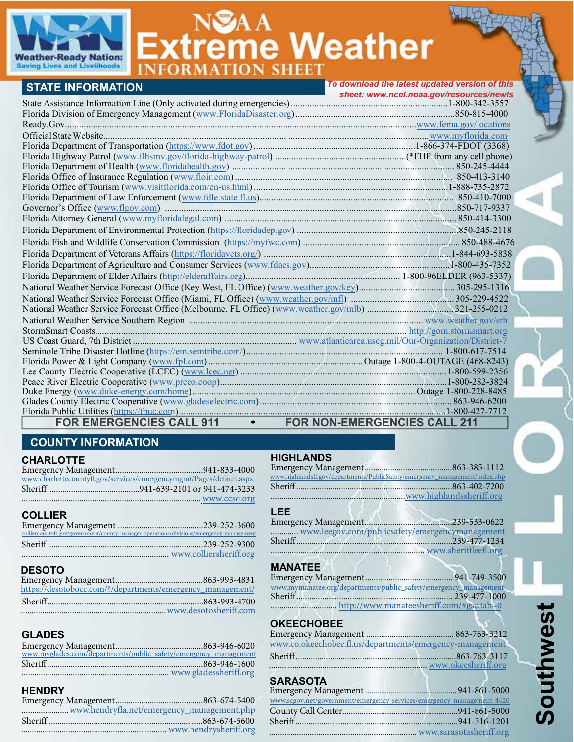

**Fxtreme Weather** 

| <b>STATE INFORMATION</b>                                | I o download the latest updated version of this |
|---------------------------------------------------------|-------------------------------------------------|
|                                                         | sheet: www.ncei.noaa.gov/resources/newis        |
|                                                         |                                                 |
|                                                         |                                                 |
|                                                         |                                                 |
|                                                         |                                                 |
|                                                         |                                                 |
|                                                         |                                                 |
|                                                         |                                                 |
|                                                         |                                                 |
|                                                         |                                                 |
|                                                         |                                                 |
|                                                         |                                                 |
|                                                         |                                                 |
|                                                         |                                                 |
|                                                         |                                                 |
|                                                         |                                                 |
|                                                         |                                                 |
|                                                         |                                                 |
|                                                         |                                                 |
|                                                         |                                                 |
|                                                         |                                                 |
|                                                         |                                                 |
|                                                         |                                                 |
|                                                         |                                                 |
|                                                         |                                                 |
|                                                         |                                                 |
|                                                         |                                                 |
|                                                         |                                                 |
|                                                         |                                                 |
|                                                         |                                                 |
| FOR EMERGENCIES CALL 911 • FOR NON-EMERGENCIES CALL 211 |                                                 |

## **[COUNTY INFORMATION](http://www.charlottecountyfl.gov/services/emergencymgmt/Pages/default.aspx)**

### **CHARLOTTE**

|                | www.charlottecountyfl.gov/services/emergencymgmt/Pages/default.aspx |
|----------------|---------------------------------------------------------------------|
|                |                                                                     |
|                |                                                                     |
| <b>COLLIER</b> |                                                                     |
|                |                                                                     |
|                |                                                                     |
|                | www.colliersheriff.org                                              |
| <b>DESOTO</b>  |                                                                     |
|                |                                                                     |
|                | https://desotobocc.com/?/departments/emergency_management/          |

### **GLADES**

| www.gladessheriff.org |  |
|-----------------------|--|
|                       |  |

Sheriff .........................................................................863-993-4700 ...................................................................[.www.desotosheriff.com](https://www.desotosheriff.com)

## **HENDRY**

| <b>NENDRI</b> |  |                                            |
|---------------|--|--------------------------------------------|
|               |  |                                            |
|               |  | www.hendryfla.net/emergency_management.php |
|               |  |                                            |
|               |  |                                            |
|               |  |                                            |

### **HIGHLANDS**

| www.highlandsfl.gov/departments/PublicSafety/emergency_management/index.php |  |
|-----------------------------------------------------------------------------|--|
|                                                                             |  |
|                                                                             |  |
|                                                                             |  |

## **LEE**

| www.sheriffleefl.org |  |
|----------------------|--|

## **MANATEE**

| www.mymanatee.org/departments/public_safety/emergency_management_ |  |
|-------------------------------------------------------------------|--|
|                                                                   |  |
|                                                                   |  |

# **OKEECHOBEE**

| www.co.okeechobee.fl.us/departments/emergency-management                                                         |                      |
|------------------------------------------------------------------------------------------------------------------|----------------------|
|                                                                                                                  |                      |
|                                                                                                                  |                      |
| <b>SARASOTA</b><br>$E_{\text{max}}$ and an $\frac{1}{2}$ $\frac{1}{2}$ $\frac{1}{2}$ $\frac{1}{2}$ $\frac{1}{2}$ | $0.41$ $0.61$ $0.00$ |

| <b>JANAJU IA</b>                                                      |  |
|-----------------------------------------------------------------------|--|
| www.scgov.net/government/emergency-services/emergency-management-4420 |  |
|                                                                       |  |
|                                                                       |  |
|                                                                       |  |

**Southwest** Southwest